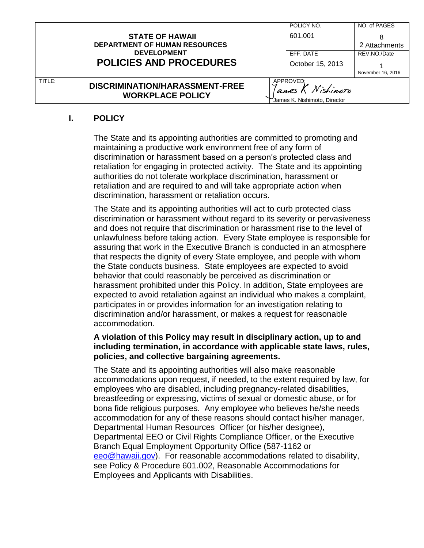|        |                                                           |                                                               | POLICY NO.       | NO. of PAGES      |
|--------|-----------------------------------------------------------|---------------------------------------------------------------|------------------|-------------------|
|        | <b>STATE OF HAWAII</b>                                    |                                                               | 601.001          |                   |
|        | <b>DEPARTMENT OF HUMAN RESOURCES</b>                      |                                                               |                  | 2 Attachments     |
|        | <b>DEVELOPMENT</b>                                        |                                                               | EFF. DATE        | REV.NO./Date      |
|        | <b>POLICIES AND PROCEDURES</b>                            |                                                               | October 15, 2013 |                   |
|        |                                                           |                                                               |                  | November 16, 2016 |
| TITLE: | DISCRIMINATION/HARASSMENT-FREE<br><b>WORKPLACE POLICY</b> | APPROVED:<br>anes K Nishimoto<br>James K. Nishimoto, Director |                  |                   |

# **I. POLICY**

The State and its appointing authorities are committed to promoting and maintaining a productive work environment free of any form of discrimination or harassment based on a person's protected class and retaliation for engaging in protected activity. The State and its appointing authorities do not tolerate workplace discrimination, harassment or retaliation and are required to and will take appropriate action when discrimination, harassment or retaliation occurs.

The State and its appointing authorities will act to curb protected class discrimination or harassment without regard to its severity or pervasiveness and does not require that discrimination or harassment rise to the level of unlawfulness before taking action. Every State employee is responsible for assuring that work in the Executive Branch is conducted in an atmosphere that respects the dignity of every State employee, and people with whom the State conducts business. State employees are expected to avoid behavior that could reasonably be perceived as discrimination or harassment prohibited under this Policy. In addition, State employees are expected to avoid retaliation against an individual who makes a complaint, participates in or provides information for an investigation relating to discrimination and/or harassment, or makes a request for reasonable accommodation.

### **A violation of this Policy may result in disciplinary action, up to and including termination, in accordance with applicable state laws, rules, policies, and collective bargaining agreements.**

The State and its appointing authorities will also make reasonable accommodations upon request, if needed, to the extent required by law, for employees who are disabled, including pregnancy-related disabilities, breastfeeding or expressing, victims of sexual or domestic abuse, or for bona fide religious purposes. Any employee who believes he/she needs accommodation for any of these reasons should contact his/her manager, Departmental Human Resources Officer (or his/her designee), Departmental EEO or Civil Rights Compliance Officer, or the Executive Branch Equal Employment Opportunity Office (587-1162 or eeo@hawaii.gov). For reasonable accommodations related to disability, see Policy & Procedure 601.002, Reasonable Accommodations for Employees and Applicants with Disabilities.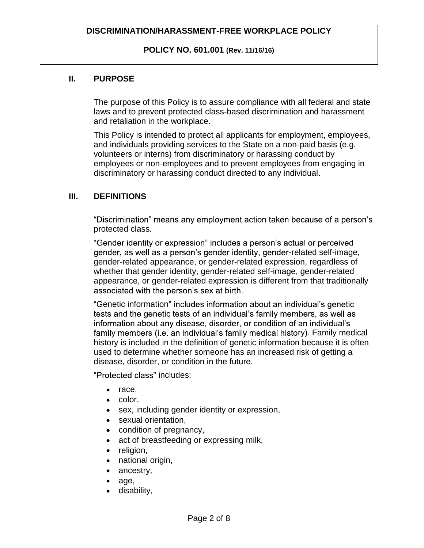**POLICY NO. 601.001 (Rev. 11/16/16)**

### **II. PURPOSE**

The purpose of this Policy is to assure compliance with all federal and state laws and to prevent protected class-based discrimination and harassment and retaliation in the workplace.

This Policy is intended to protect all applicants for employment, employees, and individuals providing services to the State on a non-paid basis (e.g. volunteers or interns) from discriminatory or harassing conduct by employees or non-employees and to prevent employees from engaging in discriminatory or harassing conduct directed to any individual.

### **III. DEFINITIONS**

"Discrimination" means any employment action taken because of a person's protected class.

"Gender identity or expression" includes a person's actual or perceived gender, as well as a person's gender identity, gender-related self-image, gender-related appearance, or gender-related expression, regardless of whether that gender identity, gender-related self-image, gender-related appearance, or gender-related expression is different from that traditionally associated with the person's sex at birth.

"Genetic information" includes information about an individual's genetic tests and the genetic tests of an individual's family members, as well as information about any disease, disorder, or condition of an individual's family members (i.e. an individual's family medical history). Family medical history is included in the definition of genetic information because it is often used to determine whether someone has an increased risk of getting a disease, disorder, or condition in the future.

"Protected class" includes:

- race,
- color,
- sex, including gender identity or expression,
- sexual orientation,
- condition of pregnancy,
- act of breastfeeding or expressing milk,
- religion,
- national origin,
- ancestry,
- age,
- disability,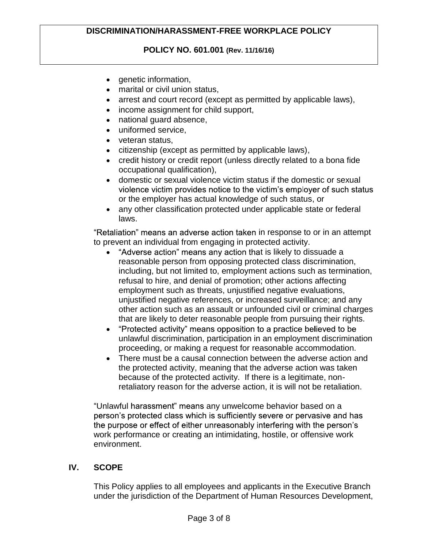**POLICY NO. 601.001 (Rev. 11/16/16)**

- genetic information,
- marital or civil union status,
- arrest and court record (except as permitted by applicable laws),
- income assignment for child support,
- national quard absence,
- uniformed service.
- veteran status,
- citizenship (except as permitted by applicable laws),
- credit history or credit report (unless directly related to a bona fide occupational qualification),
- domestic or sexual violence victim status if the domestic or sexual violence victim provides notice to the victim's employer of such status or the employer has actual knowledge of such status, or
- any other classification protected under applicable state or federal laws.

"Retaliation" means an adverse action taken in response to or in an attempt to prevent an individual from engaging in protected activity.

- "Adverse action" means any action that is likely to dissuade a reasonable person from opposing protected class discrimination, including, but not limited to, employment actions such as termination, refusal to hire, and denial of promotion; other actions affecting employment such as threats, unjustified negative evaluations, unjustified negative references, or increased surveillance; and any other action such as an assault or unfounded civil or criminal charges that are likely to deter reasonable people from pursuing their rights.
- "Protected activity" means opposition to a practice believed to be unlawful discrimination, participation in an employment discrimination proceeding, or making a request for reasonable accommodation.
- There must be a causal connection between the adverse action and the protected activity, meaning that the adverse action was taken because of the protected activity. If there is a legitimate, nonretaliatory reason for the adverse action, it is will not be retaliation.

"Unlawful harassment" means any unwelcome behavior based on a person's protected class which is sufficiently severe or pervasive and has the purpose or effect of either unreasonably interfering with the person's work performance or creating an intimidating, hostile, or offensive work environment.

### **IV. SCOPE**

This Policy applies to all employees and applicants in the Executive Branch under the jurisdiction of the Department of Human Resources Development,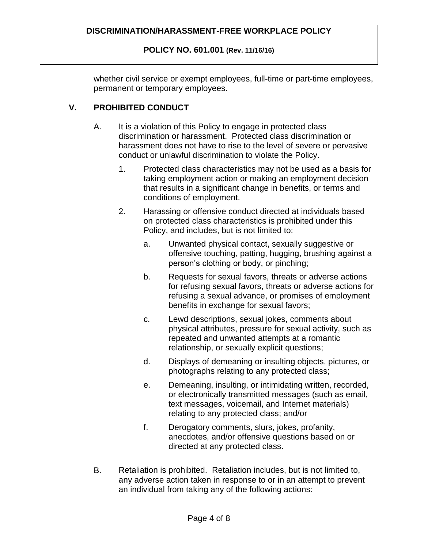### **POLICY NO. 601.001 (Rev. 11/16/16)**

whether civil service or exempt employees, full-time or part-time employees, permanent or temporary employees.

# **V. PROHIBITED CONDUCT**

- A. It is a violation of this Policy to engage in protected class discrimination or harassment. Protected class discrimination or harassment does not have to rise to the level of severe or pervasive conduct or unlawful discrimination to violate the Policy.
	- 1. Protected class characteristics may not be used as a basis for taking employment action or making an employment decision that results in a significant change in benefits, or terms and conditions of employment.
	- 2. Harassing or offensive conduct directed at individuals based on protected class characteristics is prohibited under this Policy, and includes, but is not limited to:
		- a. Unwanted physical contact, sexually suggestive or offensive touching, patting, hugging, brushing against a person's clothing or body, or pinching;
		- b. Requests for sexual favors, threats or adverse actions for refusing sexual favors, threats or adverse actions for refusing a sexual advance, or promises of employment benefits in exchange for sexual favors;
		- c. Lewd descriptions, sexual jokes, comments about physical attributes, pressure for sexual activity, such as repeated and unwanted attempts at a romantic relationship, or sexually explicit questions;
		- d. Displays of demeaning or insulting objects, pictures, or photographs relating to any protected class;
		- e. Demeaning, insulting, or intimidating written, recorded, or electronically transmitted messages (such as email, text messages, voicemail, and Internet materials) relating to any protected class; and/or
		- f. Derogatory comments, slurs, jokes, profanity, anecdotes, and/or offensive questions based on or directed at any protected class.
- B. Retaliation is prohibited. Retaliation includes, but is not limited to, any adverse action taken in response to or in an attempt to prevent an individual from taking any of the following actions: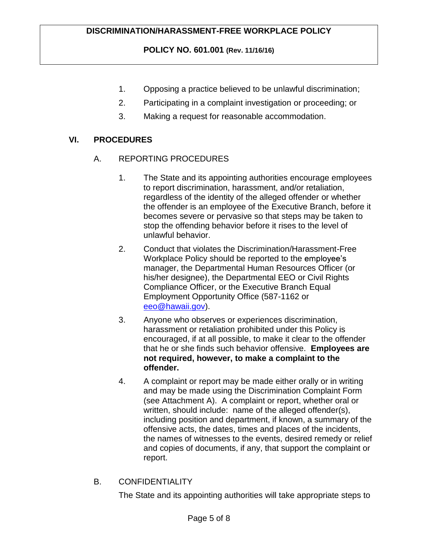# **POLICY NO. 601.001 (Rev. 11/16/16)**

- 1. Opposing a practice believed to be unlawful discrimination;
- 2. Participating in a complaint investigation or proceeding; or
- 3. Making a request for reasonable accommodation.

## **VI. PROCEDURES**

- A. REPORTING PROCEDURES
	- 1. The State and its appointing authorities encourage employees to report discrimination, harassment, and/or retaliation, regardless of the identity of the alleged offender or whether the offender is an employee of the Executive Branch, before it becomes severe or pervasive so that steps may be taken to stop the offending behavior before it rises to the level of unlawful behavior.
	- 2. Conduct that violates the Discrimination/Harassment-Free Workplace Policy should be reported to the employee's manager, the Departmental Human Resources Officer (or his/her designee), the Departmental EEO or Civil Rights Compliance Officer, or the Executive Branch Equal Employment Opportunity Office (587-1162 or eeo@hawaii.gov).
	- 3. Anyone who observes or experiences discrimination, harassment or retaliation prohibited under this Policy is encouraged, if at all possible, to make it clear to the offender that he or she finds such behavior offensive. **Employees are not required, however, to make a complaint to the offender.**
	- 4. A complaint or report may be made either orally or in writing and may be made using the Discrimination Complaint Form (see Attachment A). A complaint or report, whether oral or written, should include: name of the alleged offender(s), including position and department, if known, a summary of the offensive acts, the dates, times and places of the incidents, the names of witnesses to the events, desired remedy or relief and copies of documents, if any, that support the complaint or report.
- B. CONFIDENTIALITY

The State and its appointing authorities will take appropriate steps to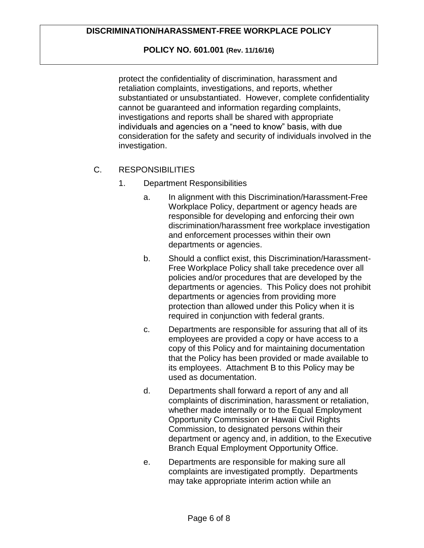### **POLICY NO. 601.001 (Rev. 11/16/16)**

protect the confidentiality of discrimination, harassment and retaliation complaints, investigations, and reports, whether substantiated or unsubstantiated. However, complete confidentiality cannot be guaranteed and information regarding complaints, investigations and reports shall be shared with appropriate individuals and agencies on a "need to know" basis, with due consideration for the safety and security of individuals involved in the investigation.

### C. RESPONSIBILITIES

- 1. Department Responsibilities
	- a. In alignment with this Discrimination/Harassment-Free Workplace Policy, department or agency heads are responsible for developing and enforcing their own discrimination/harassment free workplace investigation and enforcement processes within their own departments or agencies.
	- b. Should a conflict exist, this Discrimination/Harassment-Free Workplace Policy shall take precedence over all policies and/or procedures that are developed by the departments or agencies. This Policy does not prohibit departments or agencies from providing more protection than allowed under this Policy when it is required in conjunction with federal grants.
	- c. Departments are responsible for assuring that all of its employees are provided a copy or have access to a copy of this Policy and for maintaining documentation that the Policy has been provided or made available to its employees. Attachment B to this Policy may be used as documentation.
	- d. Departments shall forward a report of any and all complaints of discrimination, harassment or retaliation, whether made internally or to the Equal Employment Opportunity Commission or Hawaii Civil Rights Commission, to designated persons within their department or agency and, in addition, to the Executive Branch Equal Employment Opportunity Office.
	- e. Departments are responsible for making sure all complaints are investigated promptly. Departments may take appropriate interim action while an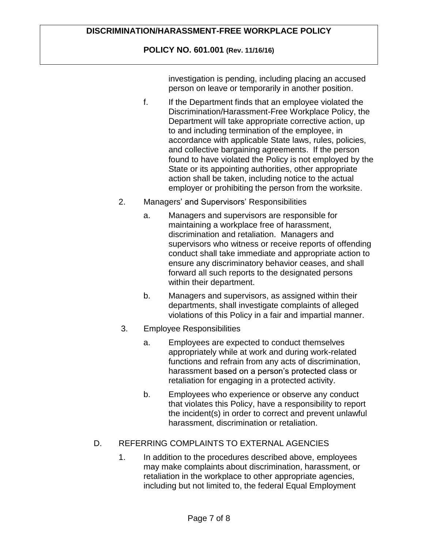# **POLICY NO. 601.001 (Rev. 11/16/16)**

investigation is pending, including placing an accused person on leave or temporarily in another position.

- f. If the Department finds that an employee violated the Discrimination/Harassment-Free Workplace Policy, the Department will take appropriate corrective action, up to and including termination of the employee, in accordance with applicable State laws, rules, policies, and collective bargaining agreements. If the person found to have violated the Policy is not employed by the State or its appointing authorities, other appropriate action shall be taken, including notice to the actual employer or prohibiting the person from the worksite.
- 2. Managers' and Supervisors' Responsibilities
	- a. Managers and supervisors are responsible for maintaining a workplace free of harassment, discrimination and retaliation. Managers and supervisors who witness or receive reports of offending conduct shall take immediate and appropriate action to ensure any discriminatory behavior ceases, and shall forward all such reports to the designated persons within their department.
	- b. Managers and supervisors, as assigned within their departments, shall investigate complaints of alleged violations of this Policy in a fair and impartial manner.
- 3. Employee Responsibilities
	- a. Employees are expected to conduct themselves appropriately while at work and during work-related functions and refrain from any acts of discrimination, harassment based on a person's protected class or retaliation for engaging in a protected activity.
	- b. Employees who experience or observe any conduct that violates this Policy, have a responsibility to report the incident(s) in order to correct and prevent unlawful harassment, discrimination or retaliation.

# D. REFERRING COMPLAINTS TO EXTERNAL AGENCIES

1. In addition to the procedures described above, employees may make complaints about discrimination, harassment, or retaliation in the workplace to other appropriate agencies, including but not limited to, the federal Equal Employment